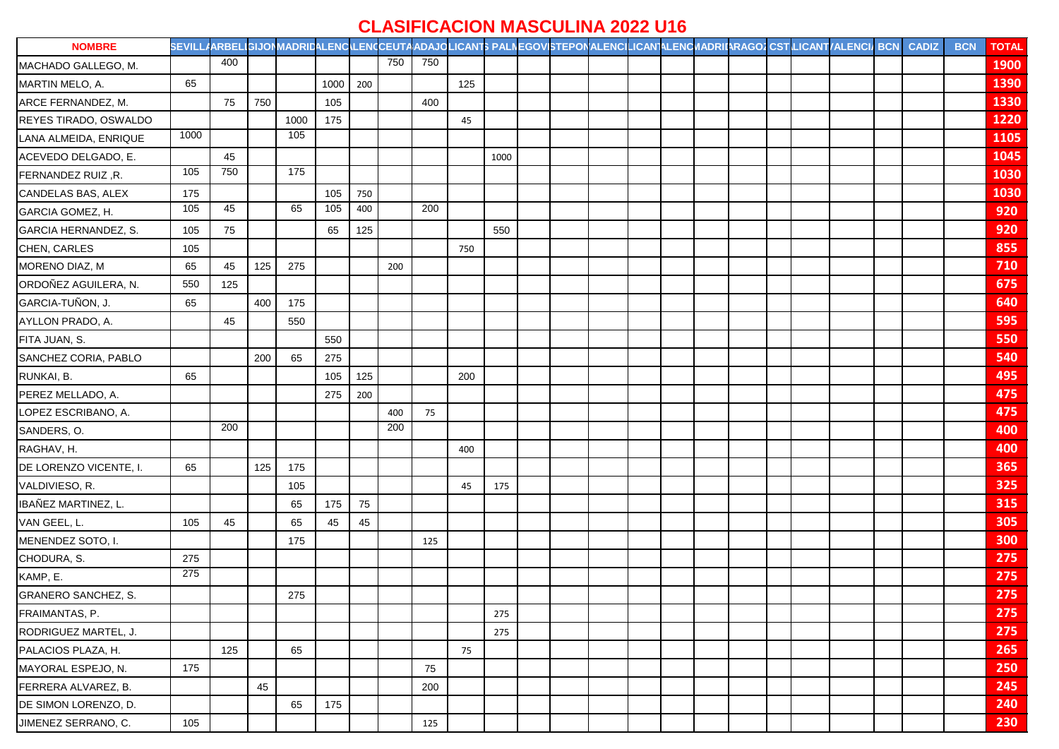## **CLASIFICACION MASCULINA 2022 U16**

| <b>NOMBRE</b>             |      |     |     |                  |      |     |     |     |     |      |  |  |  |  | SEVILLAARBELIGIJONMADRIDALENCILENCCEUTAADAJQLICANT\$ PALNEGOVISTEPONALENCILICANTALENCMADRIIARAGO2CST LICANT/ALENCI/ BCN | <b>CADIZ</b> | <b>BCN</b> | <b>TOTAL</b> |
|---------------------------|------|-----|-----|------------------|------|-----|-----|-----|-----|------|--|--|--|--|-------------------------------------------------------------------------------------------------------------------------|--------------|------------|--------------|
| MACHADO GALLEGO, M.       |      | 400 |     |                  |      |     | 750 | 750 |     |      |  |  |  |  |                                                                                                                         |              |            | 1900         |
| MARTIN MELO, A.           | 65   |     |     |                  | 1000 | 200 |     |     | 125 |      |  |  |  |  |                                                                                                                         |              |            | 1390         |
| ARCE FERNANDEZ, M.        |      | 75  | 750 |                  | 105  |     |     | 400 |     |      |  |  |  |  |                                                                                                                         |              |            | 1330         |
| REYES TIRADO, OSWALDO     |      |     |     | 1000             | 175  |     |     |     | 45  |      |  |  |  |  |                                                                                                                         |              |            | 1220         |
| LANA ALMEIDA, ENRIQUE     | 1000 |     |     | 105              |      |     |     |     |     |      |  |  |  |  |                                                                                                                         |              |            | 1105         |
| ACEVEDO DELGADO, E.       |      | 45  |     |                  |      |     |     |     |     | 1000 |  |  |  |  |                                                                                                                         |              |            | 1045         |
| FERNANDEZ RUIZ, R.        | 105  | 750 |     | $\overline{175}$ |      |     |     |     |     |      |  |  |  |  |                                                                                                                         |              |            | 1030         |
| <b>CANDELAS BAS, ALEX</b> | 175  |     |     |                  | 105  | 750 |     |     |     |      |  |  |  |  |                                                                                                                         |              |            | 1030         |
| GARCIA GOMEZ, H.          | 105  | 45  |     | 65               | 105  | 400 |     | 200 |     |      |  |  |  |  |                                                                                                                         |              |            | 920          |
| GARCIA HERNANDEZ, S.      | 105  | 75  |     |                  | 65   | 125 |     |     |     | 550  |  |  |  |  |                                                                                                                         |              |            | 920          |
| CHEN, CARLES              | 105  |     |     |                  |      |     |     |     | 750 |      |  |  |  |  |                                                                                                                         |              |            | 855          |
| MORENO DIAZ, M            | 65   | 45  | 125 | 275              |      |     | 200 |     |     |      |  |  |  |  |                                                                                                                         |              |            | 710          |
| ORDOÑEZ AGUILERA, N.      | 550  | 125 |     |                  |      |     |     |     |     |      |  |  |  |  |                                                                                                                         |              |            | 675          |
| GARCIA-TUÑON, J.          | 65   |     | 400 | 175              |      |     |     |     |     |      |  |  |  |  |                                                                                                                         |              |            | 640          |
| AYLLON PRADO, A.          |      | 45  |     | 550              |      |     |     |     |     |      |  |  |  |  |                                                                                                                         |              |            | 595          |
| FITA JUAN, S.             |      |     |     |                  | 550  |     |     |     |     |      |  |  |  |  |                                                                                                                         |              |            | 550          |
| SANCHEZ CORIA, PABLO      |      |     | 200 | 65               | 275  |     |     |     |     |      |  |  |  |  |                                                                                                                         |              |            | 540          |
| RUNKAI, B.                | 65   |     |     |                  | 105  | 125 |     |     | 200 |      |  |  |  |  |                                                                                                                         |              |            | 495          |
| PEREZ MELLADO, A.         |      |     |     |                  | 275  | 200 |     |     |     |      |  |  |  |  |                                                                                                                         |              |            | 475          |
| LOPEZ ESCRIBANO, A.       |      |     |     |                  |      |     | 400 | 75  |     |      |  |  |  |  |                                                                                                                         |              |            | 475          |
| SANDERS, O.               |      | 200 |     |                  |      |     | 200 |     |     |      |  |  |  |  |                                                                                                                         |              |            | 400          |
| RAGHAV, H.                |      |     |     |                  |      |     |     |     | 400 |      |  |  |  |  |                                                                                                                         |              |            | 400          |
| DE LORENZO VICENTE, I.    | 65   |     | 125 | 175              |      |     |     |     |     |      |  |  |  |  |                                                                                                                         |              |            | 365          |
| VALDIVIESO, R.            |      |     |     | 105              |      |     |     |     | 45  | 175  |  |  |  |  |                                                                                                                         |              |            | 325          |
| IBAÑEZ MARTINEZ, L.       |      |     |     | 65               | 175  | 75  |     |     |     |      |  |  |  |  |                                                                                                                         |              |            | 315          |
| VAN GEEL, L.              | 105  | 45  |     | 65               | 45   | 45  |     |     |     |      |  |  |  |  |                                                                                                                         |              |            | 305          |
| MENENDEZ SOTO, I.         |      |     |     | 175              |      |     |     | 125 |     |      |  |  |  |  |                                                                                                                         |              |            | 300          |
| CHODURA, S.               | 275  |     |     |                  |      |     |     |     |     |      |  |  |  |  |                                                                                                                         |              |            | 275          |
| KAMP, E.                  | 275  |     |     |                  |      |     |     |     |     |      |  |  |  |  |                                                                                                                         |              |            | 275          |
| GRANERO SANCHEZ, S.       |      |     |     | 275              |      |     |     |     |     |      |  |  |  |  |                                                                                                                         |              |            | 275          |
| FRAIMANTAS, P.            |      |     |     |                  |      |     |     |     |     | 275  |  |  |  |  |                                                                                                                         |              |            | 275          |
| RODRIGUEZ MARTEL, J.      |      |     |     |                  |      |     |     |     |     | 275  |  |  |  |  |                                                                                                                         |              |            | 275          |
| PALACIOS PLAZA, H.        |      | 125 |     | 65               |      |     |     |     | 75  |      |  |  |  |  |                                                                                                                         |              |            | 265          |
| MAYORAL ESPEJO, N.        | 175  |     |     |                  |      |     |     | 75  |     |      |  |  |  |  |                                                                                                                         |              |            | 250          |
| FERRERA ALVAREZ, B.       |      |     | 45  |                  |      |     |     | 200 |     |      |  |  |  |  |                                                                                                                         |              |            | 245          |
| DE SIMON LORENZO, D.      |      |     |     | 65               | 175  |     |     |     |     |      |  |  |  |  |                                                                                                                         |              |            | 240          |
| JIMENEZ SERRANO, C.       | 105  |     |     |                  |      |     |     | 125 |     |      |  |  |  |  |                                                                                                                         |              |            | 230          |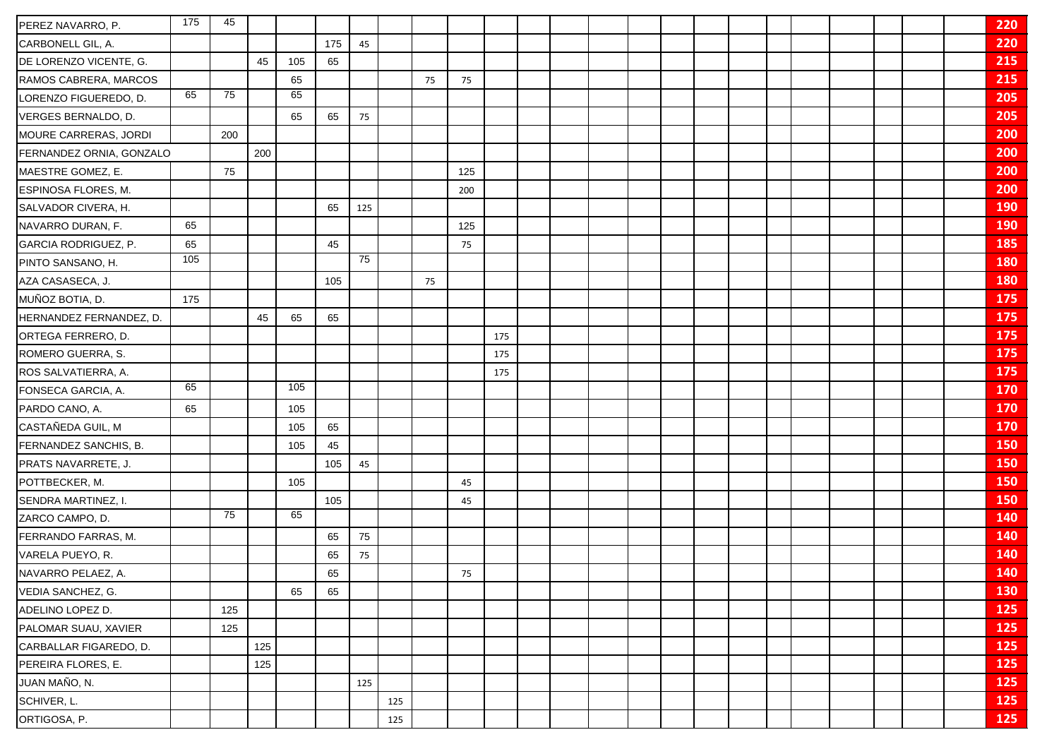| PEREZ NAVARRO, P.        | 175 | 45  |     |     |     |     |     |    |     |     |  |  |  |  |  |  | 220        |
|--------------------------|-----|-----|-----|-----|-----|-----|-----|----|-----|-----|--|--|--|--|--|--|------------|
| CARBONELL GIL, A.        |     |     |     |     | 175 | 45  |     |    |     |     |  |  |  |  |  |  | 220        |
| DE LORENZO VICENTE, G.   |     |     | 45  | 105 | 65  |     |     |    |     |     |  |  |  |  |  |  | 215        |
| RAMOS CABRERA, MARCOS    |     |     |     | 65  |     |     |     | 75 | 75  |     |  |  |  |  |  |  | 215        |
| LORENZO FIGUEREDO, D.    | 65  | 75  |     | 65  |     |     |     |    |     |     |  |  |  |  |  |  | 205        |
| VERGES BERNALDO, D.      |     |     |     | 65  | 65  | 75  |     |    |     |     |  |  |  |  |  |  | 205        |
| MOURE CARRERAS, JORDI    |     | 200 |     |     |     |     |     |    |     |     |  |  |  |  |  |  | 200        |
| FERNANDEZ ORNIA, GONZALO |     |     | 200 |     |     |     |     |    |     |     |  |  |  |  |  |  | 200        |
| MAESTRE GOMEZ, E.        |     | 75  |     |     |     |     |     |    | 125 |     |  |  |  |  |  |  | 200        |
| ESPINOSA FLORES, M.      |     |     |     |     |     |     |     |    | 200 |     |  |  |  |  |  |  | 200        |
| SALVADOR CIVERA, H.      |     |     |     |     | 65  | 125 |     |    |     |     |  |  |  |  |  |  | 190        |
| NAVARRO DURAN, F.        | 65  |     |     |     |     |     |     |    | 125 |     |  |  |  |  |  |  | <b>190</b> |
| GARCIA RODRIGUEZ, P.     | 65  |     |     |     | 45  |     |     |    | 75  |     |  |  |  |  |  |  | 185        |
| PINTO SANSANO, H.        | 105 |     |     |     |     | 75  |     |    |     |     |  |  |  |  |  |  | 180        |
| AZA CASASECA, J.         |     |     |     |     | 105 |     |     | 75 |     |     |  |  |  |  |  |  | 180        |
| MUÑOZ BOTIA, D.          | 175 |     |     |     |     |     |     |    |     |     |  |  |  |  |  |  | 175        |
| HERNANDEZ FERNANDEZ, D.  |     |     | 45  | 65  | 65  |     |     |    |     |     |  |  |  |  |  |  | 175        |
| ORTEGA FERRERO, D.       |     |     |     |     |     |     |     |    |     | 175 |  |  |  |  |  |  | 175        |
| ROMERO GUERRA, S.        |     |     |     |     |     |     |     |    |     | 175 |  |  |  |  |  |  | 175        |
| ROS SALVATIERRA, A.      |     |     |     |     |     |     |     |    |     | 175 |  |  |  |  |  |  | 175        |
| FONSECA GARCIA, A.       | 65  |     |     | 105 |     |     |     |    |     |     |  |  |  |  |  |  | 170        |
| PARDO CANO, A.           | 65  |     |     | 105 |     |     |     |    |     |     |  |  |  |  |  |  | 170        |
| CASTAÑEDA GUIL, M        |     |     |     | 105 | 65  |     |     |    |     |     |  |  |  |  |  |  | 170        |
| FERNANDEZ SANCHIS, B.    |     |     |     | 105 | 45  |     |     |    |     |     |  |  |  |  |  |  | 150        |
| PRATS NAVARRETE, J.      |     |     |     |     | 105 | 45  |     |    |     |     |  |  |  |  |  |  | 150        |
| POTTBECKER, M.           |     |     |     | 105 |     |     |     |    | 45  |     |  |  |  |  |  |  | 150        |
| SENDRA MARTINEZ, I.      |     |     |     |     | 105 |     |     |    | 45  |     |  |  |  |  |  |  | 150        |
| ZARCO CAMPO, D.          |     | 75  |     | 65  |     |     |     |    |     |     |  |  |  |  |  |  | 140        |
| FERRANDO FARRAS, M.      |     |     |     |     | 65  | 75  |     |    |     |     |  |  |  |  |  |  | 140        |
| VARELA PUEYO, R.         |     |     |     |     | 65  | 75  |     |    |     |     |  |  |  |  |  |  | 140        |
| NAVARRO PELAEZ, A.       |     |     |     |     | 65  |     |     |    | 75  |     |  |  |  |  |  |  | 140        |
| VEDIA SANCHEZ, G.        |     |     |     | 65  | 65  |     |     |    |     |     |  |  |  |  |  |  | 130        |
| ADELINO LOPEZ D.         |     | 125 |     |     |     |     |     |    |     |     |  |  |  |  |  |  | 125        |
| PALOMAR SUAU, XAVIER     |     | 125 |     |     |     |     |     |    |     |     |  |  |  |  |  |  | 125        |
| CARBALLAR FIGAREDO, D.   |     |     | 125 |     |     |     |     |    |     |     |  |  |  |  |  |  | 125        |
| PEREIRA FLORES, E.       |     |     | 125 |     |     |     |     |    |     |     |  |  |  |  |  |  | 125        |
| JUAN MAÑO, N.            |     |     |     |     |     | 125 |     |    |     |     |  |  |  |  |  |  | 125        |
| SCHIVER, L.              |     |     |     |     |     |     | 125 |    |     |     |  |  |  |  |  |  | 125        |
| ORTIGOSA, P.             |     |     |     |     |     |     | 125 |    |     |     |  |  |  |  |  |  | 125        |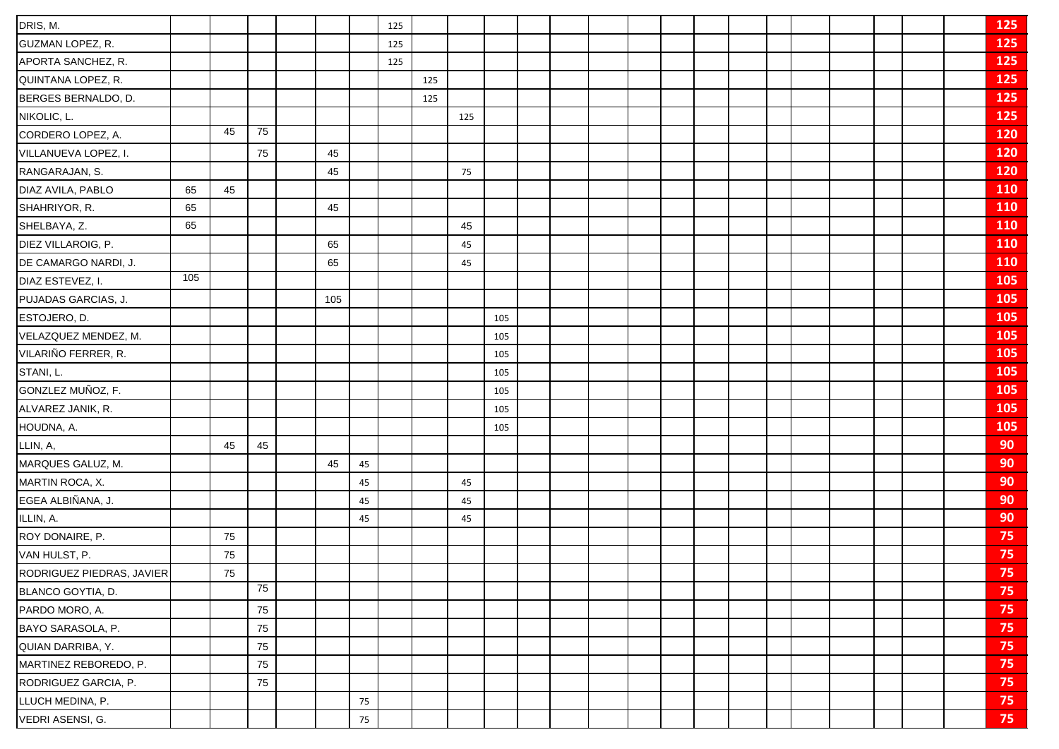| DRIS, M.                  |     |    |    |     |    | 125 |     |     |     |  |  |  |  |  |  | 125        |
|---------------------------|-----|----|----|-----|----|-----|-----|-----|-----|--|--|--|--|--|--|------------|
| GUZMAN LOPEZ, R.          |     |    |    |     |    | 125 |     |     |     |  |  |  |  |  |  | 125        |
| APORTA SANCHEZ, R.        |     |    |    |     |    | 125 |     |     |     |  |  |  |  |  |  | 125        |
| QUINTANA LOPEZ, R.        |     |    |    |     |    |     | 125 |     |     |  |  |  |  |  |  | 125        |
| BERGES BERNALDO, D.       |     |    |    |     |    |     | 125 |     |     |  |  |  |  |  |  | 125        |
| NIKOLIC, L.               |     |    |    |     |    |     |     | 125 |     |  |  |  |  |  |  | 125        |
| CORDERO LOPEZ, A.         |     | 45 | 75 |     |    |     |     |     |     |  |  |  |  |  |  | 120        |
| VILLANUEVA LOPEZ, I.      |     |    | 75 | 45  |    |     |     |     |     |  |  |  |  |  |  | <b>120</b> |
| RANGARAJAN, S.            |     |    |    | 45  |    |     |     | 75  |     |  |  |  |  |  |  | <b>120</b> |
| DIAZ AVILA, PABLO         | 65  | 45 |    |     |    |     |     |     |     |  |  |  |  |  |  | <b>110</b> |
| SHAHRIYOR, R.             | 65  |    |    | 45  |    |     |     |     |     |  |  |  |  |  |  | 110        |
| SHELBAYA, Z.              | 65  |    |    |     |    |     |     | 45  |     |  |  |  |  |  |  | 110        |
| DIEZ VILLAROIG, P.        |     |    |    | 65  |    |     |     | 45  |     |  |  |  |  |  |  | 110        |
| DE CAMARGO NARDI, J.      |     |    |    | 65  |    |     |     | 45  |     |  |  |  |  |  |  | 110        |
| DIAZ ESTEVEZ, I.          | 105 |    |    |     |    |     |     |     |     |  |  |  |  |  |  | 105        |
| PUJADAS GARCIAS, J.       |     |    |    | 105 |    |     |     |     |     |  |  |  |  |  |  | 105        |
| ESTOJERO, D.              |     |    |    |     |    |     |     |     | 105 |  |  |  |  |  |  | 105        |
| VELAZQUEZ MENDEZ, M.      |     |    |    |     |    |     |     |     | 105 |  |  |  |  |  |  | 105        |
| VILARIÑO FERRER, R.       |     |    |    |     |    |     |     |     | 105 |  |  |  |  |  |  | 105        |
| STANI, L.                 |     |    |    |     |    |     |     |     | 105 |  |  |  |  |  |  | 105        |
| GONZLEZ MUÑOZ, F.         |     |    |    |     |    |     |     |     | 105 |  |  |  |  |  |  | 105        |
| ALVAREZ JANIK, R.         |     |    |    |     |    |     |     |     | 105 |  |  |  |  |  |  | 105        |
| HOUDNA, A.                |     |    |    |     |    |     |     |     | 105 |  |  |  |  |  |  | 105        |
| LLIN, A,                  |     | 45 | 45 |     |    |     |     |     |     |  |  |  |  |  |  | 90         |
| MARQUES GALUZ, M.         |     |    |    | 45  | 45 |     |     |     |     |  |  |  |  |  |  | 90         |
| MARTIN ROCA, X.           |     |    |    |     | 45 |     |     | 45  |     |  |  |  |  |  |  | 90         |
| EGEA ALBIÑANA, J.         |     |    |    |     | 45 |     |     | 45  |     |  |  |  |  |  |  | 90         |
| ILLIN, A.                 |     |    |    |     | 45 |     |     | 45  |     |  |  |  |  |  |  | 90         |
| ROY DONAIRE, P.           |     | 75 |    |     |    |     |     |     |     |  |  |  |  |  |  | 75         |
| VAN HULST, P.             |     | 75 |    |     |    |     |     |     |     |  |  |  |  |  |  | 75         |
| RODRIGUEZ PIEDRAS, JAVIER |     | 75 |    |     |    |     |     |     |     |  |  |  |  |  |  | 75         |
| BLANCO GOYTIA, D.         |     |    | 75 |     |    |     |     |     |     |  |  |  |  |  |  | 75         |
| PARDO MORO, A.            |     |    | 75 |     |    |     |     |     |     |  |  |  |  |  |  | 75         |
| BAYO SARASOLA, P.         |     |    | 75 |     |    |     |     |     |     |  |  |  |  |  |  | 75         |
| QUIAN DARRIBA, Y.         |     |    | 75 |     |    |     |     |     |     |  |  |  |  |  |  | 75         |
| MARTINEZ REBOREDO, P.     |     |    | 75 |     |    |     |     |     |     |  |  |  |  |  |  | 75         |
| RODRIGUEZ GARCIA, P.      |     |    | 75 |     |    |     |     |     |     |  |  |  |  |  |  | 75         |
| LLUCH MEDINA, P.          |     |    |    |     | 75 |     |     |     |     |  |  |  |  |  |  | 75         |
| VEDRI ASENSI, G.          |     |    |    |     | 75 |     |     |     |     |  |  |  |  |  |  | 75         |
|                           |     |    |    |     |    |     |     |     |     |  |  |  |  |  |  |            |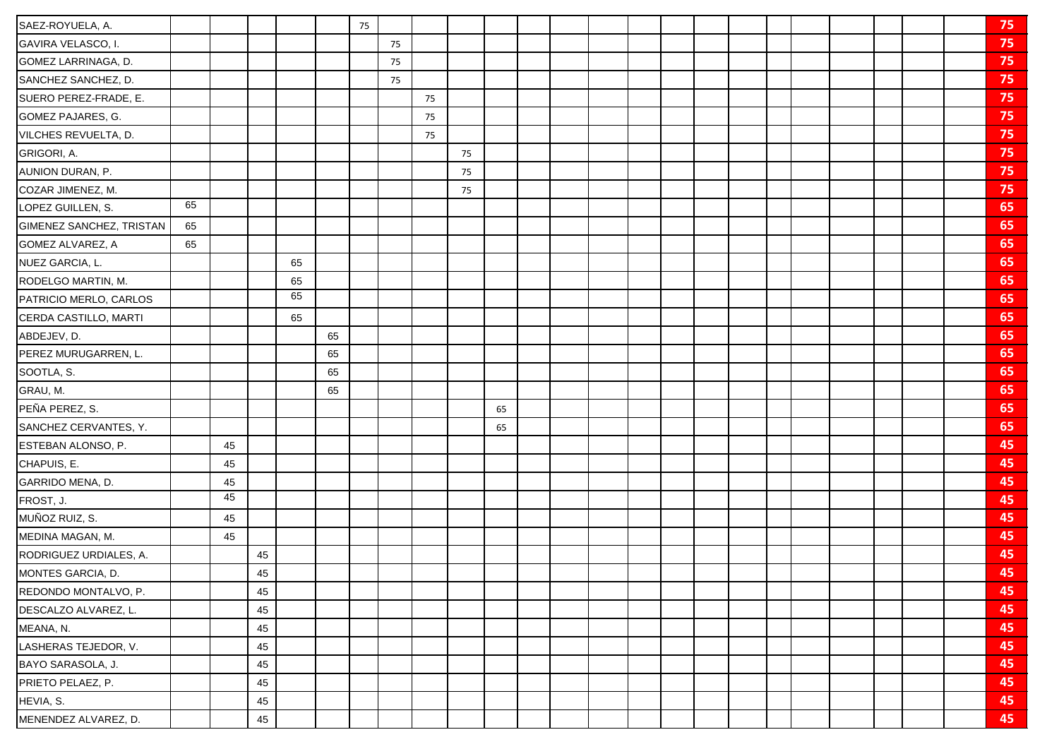| SAEZ-ROYUELA, A.         |    |    |    |    |    | 75 |    |    |    |    |  |  |  |  |  |  | 75 |
|--------------------------|----|----|----|----|----|----|----|----|----|----|--|--|--|--|--|--|----|
| GAVIRA VELASCO, I.       |    |    |    |    |    |    | 75 |    |    |    |  |  |  |  |  |  | 75 |
| GOMEZ LARRINAGA, D.      |    |    |    |    |    |    | 75 |    |    |    |  |  |  |  |  |  | 75 |
| SANCHEZ SANCHEZ, D.      |    |    |    |    |    |    | 75 |    |    |    |  |  |  |  |  |  | 75 |
| SUERO PEREZ-FRADE, E.    |    |    |    |    |    |    |    | 75 |    |    |  |  |  |  |  |  | 75 |
| GOMEZ PAJARES, G.        |    |    |    |    |    |    |    | 75 |    |    |  |  |  |  |  |  | 75 |
| VILCHES REVUELTA, D.     |    |    |    |    |    |    |    | 75 |    |    |  |  |  |  |  |  | 75 |
| GRIGORI, A.              |    |    |    |    |    |    |    |    | 75 |    |  |  |  |  |  |  | 75 |
| AUNION DURAN, P.         |    |    |    |    |    |    |    |    | 75 |    |  |  |  |  |  |  | 75 |
| COZAR JIMENEZ, M.        |    |    |    |    |    |    |    |    | 75 |    |  |  |  |  |  |  | 75 |
| LOPEZ GUILLEN, S.        | 65 |    |    |    |    |    |    |    |    |    |  |  |  |  |  |  | 65 |
| GIMENEZ SANCHEZ, TRISTAN | 65 |    |    |    |    |    |    |    |    |    |  |  |  |  |  |  | 65 |
| GOMEZ ALVAREZ, A         | 65 |    |    |    |    |    |    |    |    |    |  |  |  |  |  |  | 65 |
| NUEZ GARCIA, L.          |    |    |    | 65 |    |    |    |    |    |    |  |  |  |  |  |  | 65 |
| RODELGO MARTIN, M.       |    |    |    | 65 |    |    |    |    |    |    |  |  |  |  |  |  | 65 |
| PATRICIO MERLO, CARLOS   |    |    |    | 65 |    |    |    |    |    |    |  |  |  |  |  |  | 65 |
| CERDA CASTILLO, MARTI    |    |    |    | 65 |    |    |    |    |    |    |  |  |  |  |  |  | 65 |
| ABDEJEV, D.              |    |    |    |    | 65 |    |    |    |    |    |  |  |  |  |  |  | 65 |
| PEREZ MURUGARREN, L.     |    |    |    |    | 65 |    |    |    |    |    |  |  |  |  |  |  | 65 |
| SOOTLA, S.               |    |    |    |    | 65 |    |    |    |    |    |  |  |  |  |  |  | 65 |
| GRAU, M.                 |    |    |    |    | 65 |    |    |    |    |    |  |  |  |  |  |  | 65 |
| PEÑA PEREZ, S.           |    |    |    |    |    |    |    |    |    | 65 |  |  |  |  |  |  | 65 |
| SANCHEZ CERVANTES, Y.    |    |    |    |    |    |    |    |    |    | 65 |  |  |  |  |  |  | 65 |
| ESTEBAN ALONSO, P.       |    | 45 |    |    |    |    |    |    |    |    |  |  |  |  |  |  | 45 |
| CHAPUIS, E.              |    | 45 |    |    |    |    |    |    |    |    |  |  |  |  |  |  | 45 |
| GARRIDO MENA, D.         |    | 45 |    |    |    |    |    |    |    |    |  |  |  |  |  |  | 45 |
| FROST, J.                |    | 45 |    |    |    |    |    |    |    |    |  |  |  |  |  |  | 45 |
| MUÑOZ RUIZ, S.           |    | 45 |    |    |    |    |    |    |    |    |  |  |  |  |  |  | 45 |
| MEDINA MAGAN, M.         |    | 45 |    |    |    |    |    |    |    |    |  |  |  |  |  |  | 45 |
| RODRIGUEZ URDIALES, A.   |    |    | 45 |    |    |    |    |    |    |    |  |  |  |  |  |  | 45 |
| MONTES GARCIA, D.        |    |    | 45 |    |    |    |    |    |    |    |  |  |  |  |  |  | 45 |
| REDONDO MONTALVO, P.     |    |    | 45 |    |    |    |    |    |    |    |  |  |  |  |  |  | 45 |
| DESCALZO ALVAREZ, L.     |    |    | 45 |    |    |    |    |    |    |    |  |  |  |  |  |  | 45 |
| MEANA, N.                |    |    | 45 |    |    |    |    |    |    |    |  |  |  |  |  |  | 45 |
| LASHERAS TEJEDOR, V.     |    |    | 45 |    |    |    |    |    |    |    |  |  |  |  |  |  | 45 |
| BAYO SARASOLA, J.        |    |    | 45 |    |    |    |    |    |    |    |  |  |  |  |  |  | 45 |
| PRIETO PELAEZ, P.        |    |    | 45 |    |    |    |    |    |    |    |  |  |  |  |  |  | 45 |
| HEVIA, S.                |    |    | 45 |    |    |    |    |    |    |    |  |  |  |  |  |  | 45 |
| MENENDEZ ALVAREZ, D.     |    |    | 45 |    |    |    |    |    |    |    |  |  |  |  |  |  | 45 |